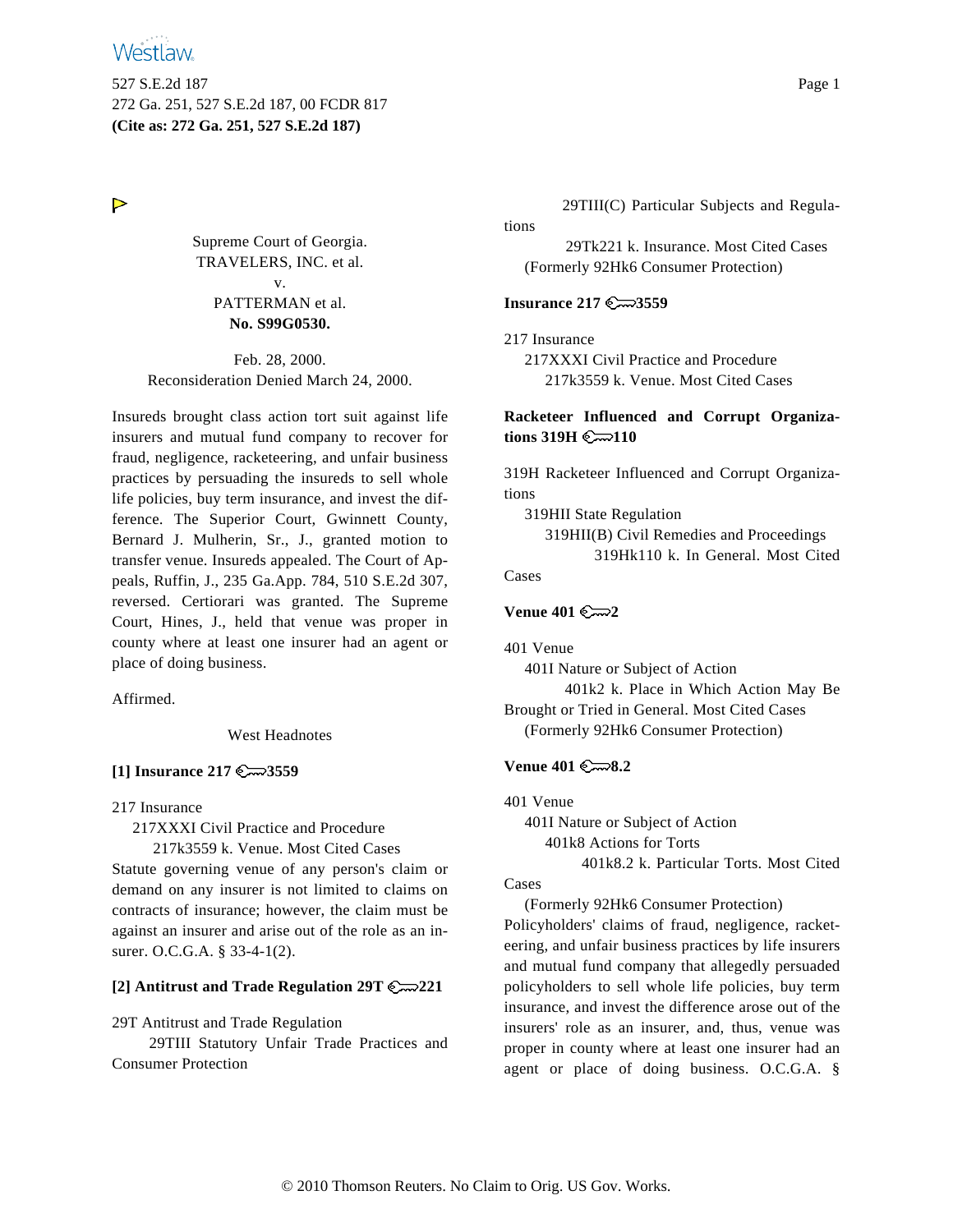

527 S.E.2d 187 Page 1 272 Ga. 251, 527 S.E.2d 187, 00 FCDR 817 **(Cite as: 272 Ga. 251, 527 S.E.2d 187)**

▶

Supreme Court of Georgia. TRAVELERS, INC. et al. v. PATTERMAN et al. **No. S99G0530.**

Feb. 28, 2000. Reconsideration Denied March 24, 2000.

Insureds brought class action tort suit against life insurers and mutual fund company to recover for fraud, negligence, racketeering, and unfair business practices by persuading the insureds to sell whole life policies, buy term insurance, and invest the difference. The Superior Court, Gwinnett County, Bernard J. Mulherin, Sr., J., granted motion to transfer venue. Insureds appealed. The Court of Appeals, Ruffin, J., 235 Ga.App. 784, 510 S.E.2d 307, reversed. Certiorari was granted. The Supreme Court, Hines, J., held that venue was proper in county where at least one insurer had an agent or place of doing business.

Affirmed.

West Headnotes

## **[1] Insurance 217 3559**

217 Insurance

217XXXI Civil Practice and Procedure

217k3559 k. Venue. Most Cited Cases

Statute governing venue of any person's claim or demand on any insurer is not limited to claims on contracts of insurance; however, the claim must be against an insurer and arise out of the role as an insurer. O.C.G.A. § 33-4-1(2).

#### **[2] Antitrust and Trade Regulation 29T 221**

29T Antitrust and Trade Regulation

29TIII Statutory Unfair Trade Practices and Consumer Protection

29TIII(C) Particular Subjects and Regula-

29Tk221 k. Insurance. Most Cited Cases (Formerly 92Hk6 Consumer Protection)

#### **Insurance 217 3559**

217 Insurance 217XXXI Civil Practice and Procedure 217k3559 k. Venue. Most Cited Cases

## **Racketeer Influenced and Corrupt Organizations 319H**  $\mathbb{C}\rightarrow 110$

319H Racketeer Influenced and Corrupt Organizations

319HII State Regulation

319HII(B) Civil Remedies and Proceedings 319Hk110 k. In General. Most Cited

Cases

tions

# **Venue 401 2**

401 Venue

401I Nature or Subject of Action

401k2 k. Place in Which Action May Be Brought or Tried in General. Most Cited Cases (Formerly 92Hk6 Consumer Protection)

#### **Venue 401 8.2**

401 Venue

401I Nature or Subject of Action

401k8 Actions for Torts

401k8.2 k. Particular Torts. Most Cited

Cases

(Formerly 92Hk6 Consumer Protection) Policyholders' claims of fraud, negligence, racketeering, and unfair business practices by life insurers and mutual fund company that allegedly persuaded policyholders to sell whole life policies, buy term insurance, and invest the difference arose out of the insurers' role as an insurer, and, thus, venue was proper in county where at least one insurer had an agent or place of doing business. O.C.G.A. §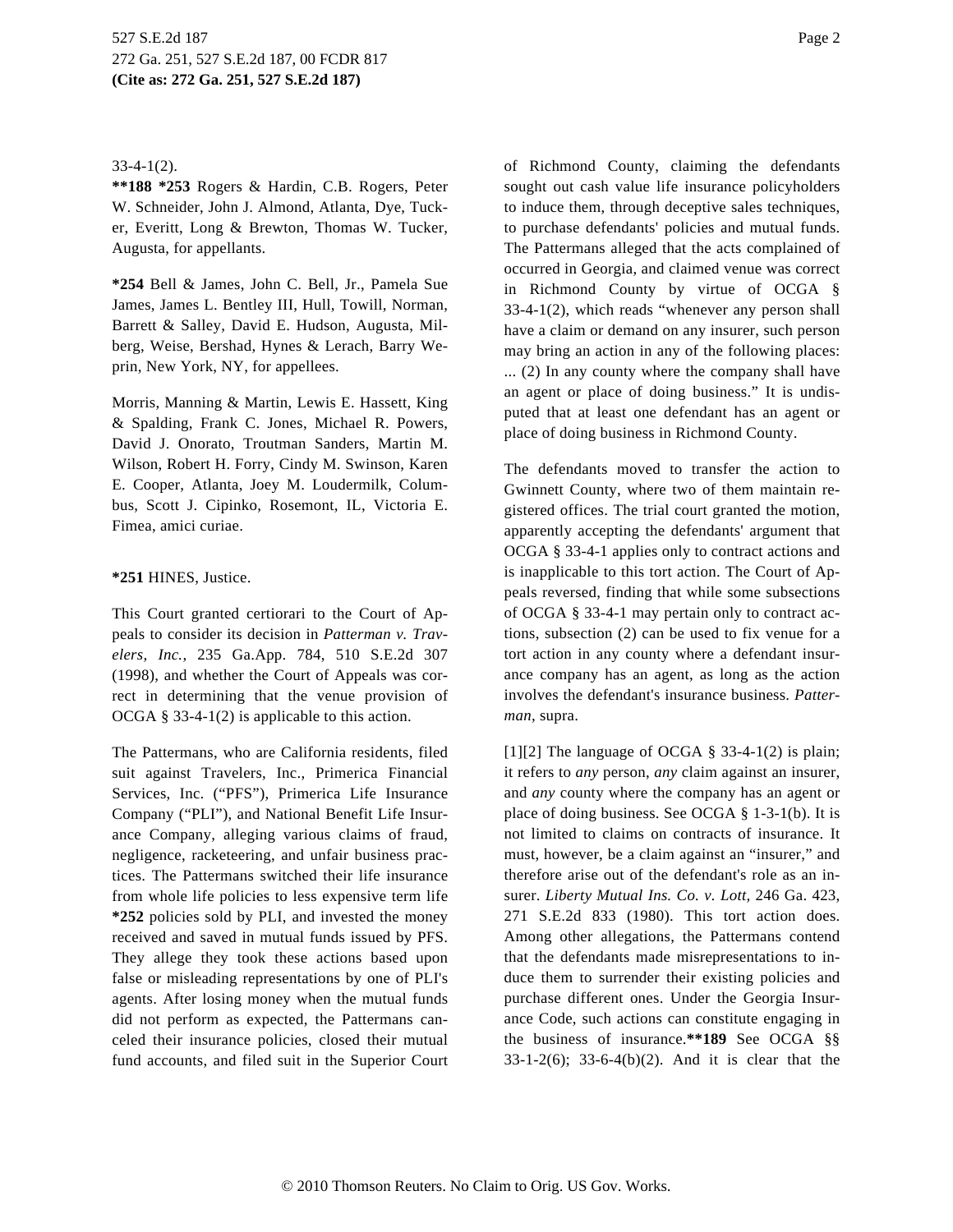### 33-4-1(2).

**\*\*188 \*253** Rogers & Hardin, C.B. Rogers, Peter W. Schneider, John J. Almond, Atlanta, Dye, Tucker, Everitt, Long & Brewton, Thomas W. Tucker, Augusta, for appellants.

**\*254** Bell & James, John C. Bell, Jr., Pamela Sue James, James L. Bentley III, Hull, Towill, Norman, Barrett & Salley, David E. Hudson, Augusta, Milberg, Weise, Bershad, Hynes & Lerach, Barry Weprin, New York, NY, for appellees.

Morris, Manning & Martin, Lewis E. Hassett, King & Spalding, Frank C. Jones, Michael R. Powers, David J. Onorato, Troutman Sanders, Martin M. Wilson, Robert H. Forry, Cindy M. Swinson, Karen E. Cooper, Atlanta, Joey M. Loudermilk, Columbus, Scott J. Cipinko, Rosemont, IL, Victoria E. Fimea, amici curiae.

### **\*251** HINES, Justice.

This Court granted certiorari to the Court of Appeals to consider its decision in *Patterman v. Travelers, Inc.,* 235 Ga.App. 784, 510 S.E.2d 307 (1998), and whether the Court of Appeals was correct in determining that the venue provision of OCGA § 33-4-1(2) is applicable to this action.

The Pattermans, who are California residents, filed suit against Travelers, Inc., Primerica Financial Services, Inc. ("PFS"), Primerica Life Insurance Company ("PLI"), and National Benefit Life Insurance Company, alleging various claims of fraud, negligence, racketeering, and unfair business practices. The Pattermans switched their life insurance from whole life policies to less expensive term life **\*252** policies sold by PLI, and invested the money received and saved in mutual funds issued by PFS. They allege they took these actions based upon false or misleading representations by one of PLI's agents. After losing money when the mutual funds did not perform as expected, the Pattermans canceled their insurance policies, closed their mutual fund accounts, and filed suit in the Superior Court of Richmond County, claiming the defendants sought out cash value life insurance policyholders to induce them, through deceptive sales techniques, to purchase defendants' policies and mutual funds. The Pattermans alleged that the acts complained of occurred in Georgia, and claimed venue was correct in Richmond County by virtue of OCGA § 33-4-1(2), which reads "whenever any person shall have a claim or demand on any insurer, such person may bring an action in any of the following places: ... (2) In any county where the company shall have an agent or place of doing business." It is undisputed that at least one defendant has an agent or place of doing business in Richmond County.

The defendants moved to transfer the action to Gwinnett County, where two of them maintain registered offices. The trial court granted the motion, apparently accepting the defendants' argument that OCGA § 33-4-1 applies only to contract actions and is inapplicable to this tort action. The Court of Appeals reversed, finding that while some subsections of OCGA § 33-4-1 may pertain only to contract actions, subsection (2) can be used to fix venue for a tort action in any county where a defendant insurance company has an agent, as long as the action involves the defendant's insurance business. *Patterman,* supra.

[1][2] The language of OCGA  $\S$  33-4-1(2) is plain; it refers to *any* person, *any* claim against an insurer, and *any* county where the company has an agent or place of doing business. See OCGA § 1-3-1(b). It is not limited to claims on contracts of insurance. It must, however, be a claim against an "insurer," and therefore arise out of the defendant's role as an insurer. *Liberty Mutual Ins. Co. v. Lott,* 246 Ga. 423, 271 S.E.2d 833 (1980). This tort action does. Among other allegations, the Pattermans contend that the defendants made misrepresentations to induce them to surrender their existing policies and purchase different ones. Under the Georgia Insurance Code, such actions can constitute engaging in the business of insurance.**\*\*189** See OCGA §§ 33-1-2(6); 33-6-4(b)(2). And it is clear that the